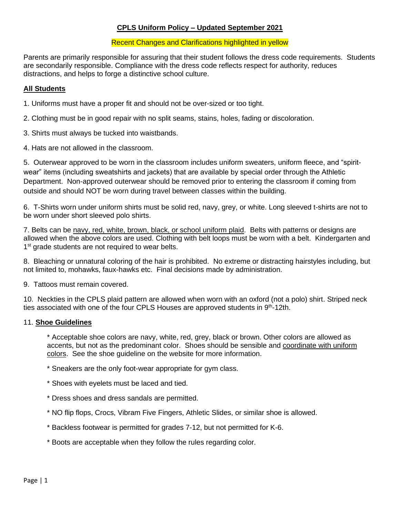### **CPLS Uniform Policy – Updated September 2021**

#### Recent Changes and Clarifications highlighted in yellow

Parents are primarily responsible for assuring that their student follows the dress code requirements. Students are secondarily responsible. Compliance with the dress code reflects respect for authority, reduces distractions, and helps to forge a distinctive school culture.

### **All Students**

1. Uniforms must have a proper fit and should not be over-sized or too tight.

2. Clothing must be in good repair with no split seams, stains, holes, fading or discoloration.

3. Shirts must always be tucked into waistbands.

4. Hats are not allowed in the classroom.

5. Outerwear approved to be worn in the classroom includes uniform sweaters, uniform fleece, and "spiritwear" items (including sweatshirts and jackets) that are available by special order through the Athletic Department. Non-approved outerwear should be removed prior to entering the classroom if coming from outside and should NOT be worn during travel between classes within the building.

6. T-Shirts worn under uniform shirts must be solid red, navy, grey, or white. Long sleeved t-shirts are not to be worn under short sleeved polo shirts.

7. Belts can be navy, red, white, brown, black, or school uniform plaid. Belts with patterns or designs are allowed when the above colors are used. Clothing with belt loops must be worn with a belt. Kindergarten and 1<sup>st</sup> grade students are not required to wear belts.

8. Bleaching or unnatural coloring of the hair is prohibited. No extreme or distracting hairstyles including, but not limited to, mohawks, faux-hawks etc. Final decisions made by administration.

9. Tattoos must remain covered.

10. Neckties in the CPLS plaid pattern are allowed when worn with an oxford (not a polo) shirt. Striped neck ties associated with one of the four CPLS Houses are approved students in  $9<sup>th</sup>$ -12th.

### 11. **Shoe Guidelines**

\* Acceptable shoe colors are navy, white, red, grey, black or brown. Other colors are allowed as accents, but not as the predominant color. Shoes should be sensible and coordinate with uniform colors. See the shoe guideline on the website for more information.

\* Sneakers are the only foot-wear appropriate for gym class.

- \* Shoes with eyelets must be laced and tied.
- \* Dress shoes and dress sandals are permitted.
- \* NO flip flops, Crocs, Vibram Five Fingers, Athletic Slides, or similar shoe is allowed.
- \* Backless footwear is permitted for grades 7-12, but not permitted for K-6.
- \* Boots are acceptable when they follow the rules regarding color.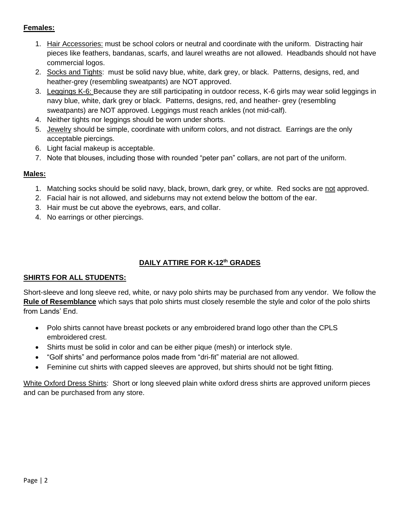# **Females:**

- 1. Hair Accessories: must be school colors or neutral and coordinate with the uniform. Distracting hair pieces like feathers, bandanas, scarfs, and laurel wreaths are not allowed. Headbands should not have commercial logos.
- 2. Socks and Tights: must be solid navy blue, white, dark grey, or black. Patterns, designs, red, and heather-grey (resembling sweatpants) are NOT approved.
- 3. Leggings K-6: Because they are still participating in outdoor recess, K-6 girls may wear solid leggings in navy blue, white, dark grey or black. Patterns, designs, red, and heather- grey (resembling sweatpants) are NOT approved. Leggings must reach ankles (not mid-calf).
- 4. Neither tights nor leggings should be worn under shorts.
- 5. Jewelry should be simple, coordinate with uniform colors, and not distract. Earrings are the only acceptable piercings.
- 6. Light facial makeup is acceptable.
- 7. Note that blouses, including those with rounded "peter pan" collars, are not part of the uniform.

# **Males:**

- 1. Matching socks should be solid navy, black, brown, dark grey, or white. Red socks are not approved.
- 2. Facial hair is not allowed, and sideburns may not extend below the bottom of the ear.
- 3. Hair must be cut above the eyebrows, ears, and collar.
- 4. No earrings or other piercings.

# **DAILY ATTIRE FOR K-12th GRADES**

# **SHIRTS FOR ALL STUDENTS:**

Short-sleeve and long sleeve red, white, or navy polo shirts may be purchased from any vendor. We follow the **Rule of Resemblance** which says that polo shirts must closely resemble the style and color of the polo shirts from Lands' End.

- Polo shirts cannot have breast pockets or any embroidered brand logo other than the CPLS embroidered crest.
- Shirts must be solid in color and can be either pique (mesh) or interlock style.
- "Golf shirts" and performance polos made from "dri-fit" material are not allowed.
- Feminine cut shirts with capped sleeves are approved, but shirts should not be tight fitting.

White Oxford Dress Shirts: Short or long sleeved plain white oxford dress shirts are approved uniform pieces and can be purchased from any store.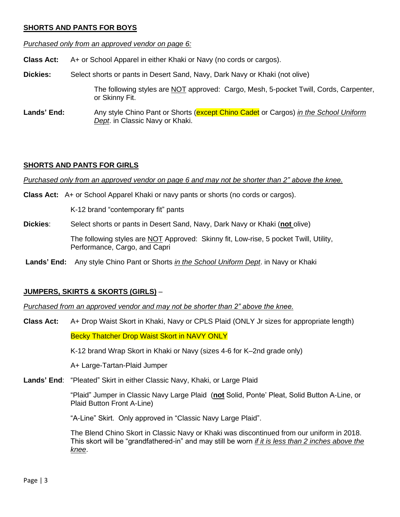### **SHORTS AND PANTS FOR BOYS**

*Purchased only from an approved vendor on page 6:*

**Class Act:** A+ or School Apparel in either Khaki or Navy (no cords or cargos).

**Dickies:** Select shorts or pants in Desert Sand, Navy, Dark Navy or Khaki (not olive)

The following styles are **NOT** approved: Cargo, Mesh, 5-pocket Twill, Cords, Carpenter, or Skinny Fit.

**Lands' End:** Any style Chino Pant or Shorts (except Chino Cadet or Cargos) *in the School Uniform Dept*. in Classic Navy or Khaki.

# **SHORTS AND PANTS FOR GIRLS**

*Purchased only from an approved vendor on page 6 and may not be shorter than 2" above the knee.*

**Class Act:** A+ or School Apparel Khaki or navy pants or shorts (no cords or cargos).

K-12 brand "contemporary fit" pants

**Dickies**: Select shorts or pants in Desert Sand, Navy, Dark Navy or Khaki (**not** olive)

The following styles are NOT Approved: Skinny fit, Low-rise, 5 pocket Twill, Utility, Performance, Cargo, and Capri

**Lands' End:** Any style Chino Pant or Shorts *in the School Uniform Dept*. in Navy or Khaki

# **JUMPERS, SKIRTS & SKORTS (GIRLS)** –

*Purchased from an approved vendor and may not be shorter than 2" above the knee.*

**Class Act:** A+ Drop Waist Skort in Khaki, Navy or CPLS Plaid (ONLY Jr sizes for appropriate length) Becky Thatcher Drop Waist Skort in NAVY ONLY

K-12 brand Wrap Skort in Khaki or Navy (sizes 4-6 for K–2nd grade only)

A+ Large-Tartan-Plaid Jumper

**Lands' End**: "Pleated" Skirt in either Classic Navy, Khaki, or Large Plaid

"Plaid" Jumper in Classic Navy Large Plaid (**not** Solid, Ponte' Pleat, Solid Button A-Line, or Plaid Button Front A-Line)

"A-Line" Skirt. Only approved in "Classic Navy Large Plaid".

The Blend Chino Skort in Classic Navy or Khaki was discontinued from our uniform in 2018. This skort will be "grandfathered-in" and may still be worn *if it is less than 2 inches above the knee*.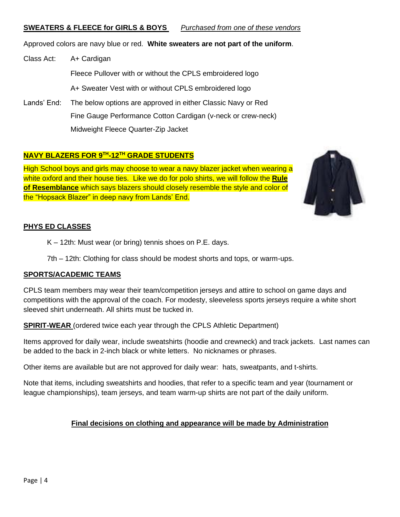### **SWEATERS & FLEECE for GIRLS & BOYS** *Purchased from one of these vendors*

Approved colors are navy blue or red. **White sweaters are not part of the uniform**.

Class Act: A+ Cardigan Fleece Pullover with or without the CPLS embroidered logo A+ Sweater Vest with or without CPLS embroidered logo

Lands' End: The below options are approved in either Classic Navy or Red Fine Gauge Performance Cotton Cardigan (v-neck or crew-neck) Midweight Fleece Quarter-Zip Jacket

# **NAVY BLAZERS FOR 9TH -12TH GRADE STUDENTS**

High School boys and girls may choose to wear a navy blazer jacket when wearing a white oxford and their house ties. Like we do for polo shirts, we will follow the **Rule of Resemblance** which says blazers should closely resemble the style and color of the "Hopsack Blazer" in deep navy from Lands' End.



# **PHYS ED CLASSES**

K – 12th: Must wear (or bring) tennis shoes on P.E. days.

7th – 12th: Clothing for class should be modest shorts and tops, or warm-ups.

### **SPORTS/ACADEMIC TEAMS**

CPLS team members may wear their team/competition jerseys and attire to school on game days and competitions with the approval of the coach. For modesty, sleeveless sports jerseys require a white short sleeved shirt underneath. All shirts must be tucked in.

**SPIRIT-WEAR** (ordered twice each year through the CPLS Athletic Department)

Items approved for daily wear, include sweatshirts (hoodie and crewneck) and track jackets. Last names can be added to the back in 2-inch black or white letters. No nicknames or phrases.

Other items are available but are not approved for daily wear: hats, sweatpants, and t-shirts.

Note that items, including sweatshirts and hoodies, that refer to a specific team and year (tournament or league championships), team jerseys, and team warm-up shirts are not part of the daily uniform.

# **Final decisions on clothing and appearance will be made by Administration**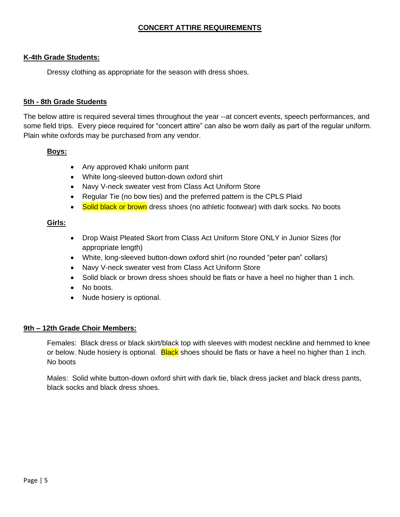### **CONCERT ATTIRE REQUIREMENTS**

#### **K-4th Grade Students:**

Dressy clothing as appropriate for the season with dress shoes.

#### **5th - 8th Grade Students**

The below attire is required several times throughout the year --at concert events, speech performances, and some field trips. Every piece required for "concert attire" can also be worn daily as part of the regular uniform. Plain white oxfords may be purchased from any vendor.

#### **Boys:**

- Any approved Khaki uniform pant
- White long-sleeved button-down oxford shirt
- Navy V-neck sweater vest from Class Act Uniform Store
- Regular Tie (no bow ties) and the preferred pattern is the CPLS Plaid
- Solid black or brown dress shoes (no athletic footwear) with dark socks. No boots

#### **Girls:**

- Drop Waist Pleated Skort from Class Act Uniform Store ONLY in Junior Sizes (for appropriate length)
- White, long-sleeved button-down oxford shirt (no rounded "peter pan" collars)
- Navy V-neck sweater vest from Class Act Uniform Store
- Solid black or brown dress shoes should be flats or have a heel no higher than 1 inch.
- No boots.
- Nude hosiery is optional.

### **9th – 12th Grade Choir Members:**

Females: Black dress or black skirt/black top with sleeves with modest neckline and hemmed to knee or below. Nude hosiery is optional. Black shoes should be flats or have a heel no higher than 1 inch. No boots

Males: Solid white button-down oxford shirt with dark tie, black dress jacket and black dress pants, black socks and black dress shoes.